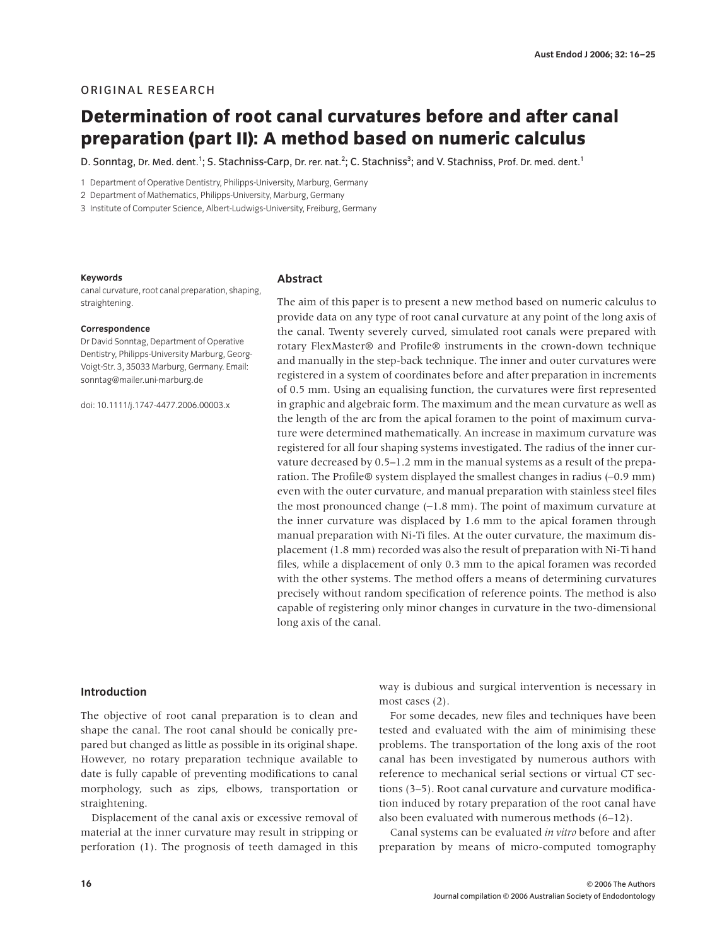# ORIGINAL RESEARCH

# **Determination of root canal curvatures before and after canal preparation (part II): A method based on numeric calculus**

D. Sonntag, Dr. Med. dent.<sup>1</sup>; S. Stachniss-Carp, Dr. rer. nat.<sup>2</sup>; C. Stachniss<sup>3</sup>; and V. Stachniss, Prof. Dr. med. dent.<sup>1</sup>

1 Department of Operative Dentistry, Philipps-University, Marburg, Germany

2 Department of Mathematics, Philipps-University, Marburg, Germany

3 Institute of Computer Science, Albert-Ludwigs-University, Freiburg, Germany

#### **Keywords**

canal curvature, root canal preparation, shaping, straightening.

#### **Correspondence**

Dr David Sonntag, Department of Operative Dentistry, Philipps-University Marburg, Georg-Voigt-Str. 3, 35033 Marburg, Germany. Email: sonntag@mailer.uni-marburg.de

doi: 10.1111/j.1747-4477.2006.00003.x

## **Abstract**

The aim of this paper is to present a new method based on numeric calculus to provide data on any type of root canal curvature at any point of the long axis of the canal. Twenty severely curved, simulated root canals were prepared with rotary FlexMaster® and Profile® instruments in the crown-down technique and manually in the step-back technique. The inner and outer curvatures were registered in a system of coordinates before and after preparation in increments of 0.5 mm. Using an equalising function, the curvatures were first represented in graphic and algebraic form. The maximum and the mean curvature as well as the length of the arc from the apical foramen to the point of maximum curvature were determined mathematically. An increase in maximum curvature was registered for all four shaping systems investigated. The radius of the inner curvature decreased by 0.5–1.2 mm in the manual systems as a result of the preparation. The Profile® system displayed the smallest changes in radius (−0.9 mm) even with the outer curvature, and manual preparation with stainless steel files the most pronounced change (−1.8 mm). The point of maximum curvature at the inner curvature was displaced by 1.6 mm to the apical foramen through manual preparation with Ni-Ti files. At the outer curvature, the maximum displacement (1.8 mm) recorded was also the result of preparation with Ni-Ti hand files, while a displacement of only 0.3 mm to the apical foramen was recorded with the other systems. The method offers a means of determining curvatures precisely without random specification of reference points. The method is also capable of registering only minor changes in curvature in the two-dimensional long axis of the canal.

# **Introduction**

The objective of root canal preparation is to clean and shape the canal. The root canal should be conically prepared but changed as little as possible in its original shape. However, no rotary preparation technique available to date is fully capable of preventing modifications to canal morphology, such as zips, elbows, transportation or straightening.

Displacement of the canal axis or excessive removal of material at the inner curvature may result in stripping or perforation (1). The prognosis of teeth damaged in this

way is dubious and surgical intervention is necessary in most cases (2).

For some decades, new files and techniques have been tested and evaluated with the aim of minimising these problems. The transportation of the long axis of the root canal has been investigated by numerous authors with reference to mechanical serial sections or virtual CT sections (3–5). Root canal curvature and curvature modification induced by rotary preparation of the root canal have also been evaluated with numerous methods (6–12).

Canal systems can be evaluated *in vitro* before and after preparation by means of micro-computed tomography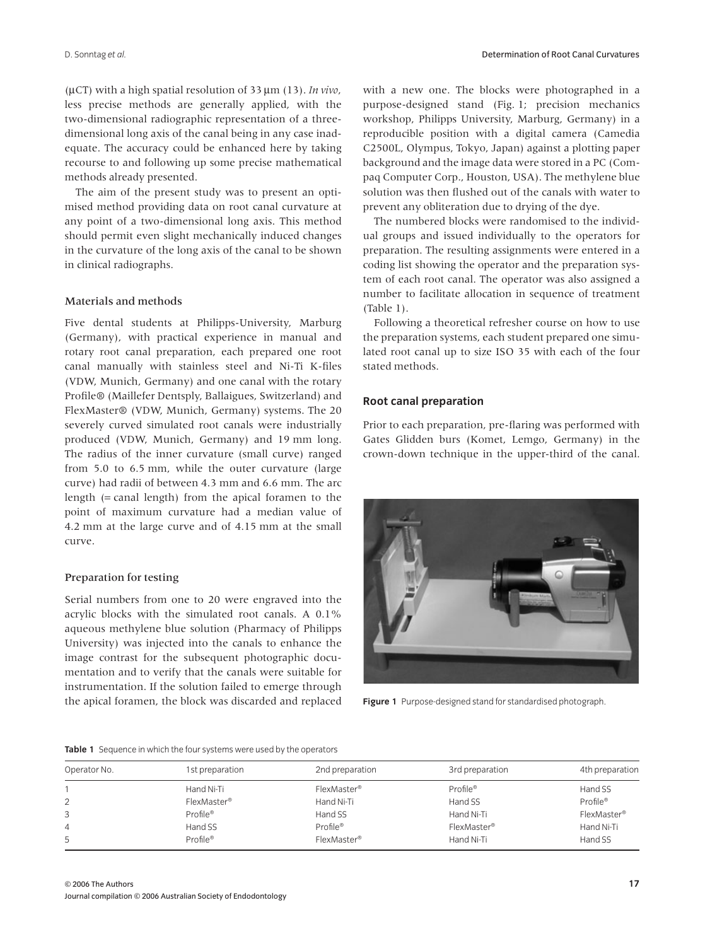(µCT) with a high spatial resolution of 33 µm (13). *In vivo*, less precise methods are generally applied, with the two-dimensional radiographic representation of a threedimensional long axis of the canal being in any case inadequate. The accuracy could be enhanced here by taking recourse to and following up some precise mathematical methods already presented.

The aim of the present study was to present an optimised method providing data on root canal curvature at any point of a two-dimensional long axis. This method should permit even slight mechanically induced changes in the curvature of the long axis of the canal to be shown in clinical radiographs.

#### Materials and methods

Five dental students at Philipps-University, Marburg (Germany), with practical experience in manual and rotary root canal preparation, each prepared one root canal manually with stainless steel and Ni-Ti K-files (VDW, Munich, Germany) and one canal with the rotary Profile® (Maillefer Dentsply, Ballaigues, Switzerland) and FlexMaster® (VDW, Munich, Germany) systems. The 20 severely curved simulated root canals were industrially produced (VDW, Munich, Germany) and 19 mm long. The radius of the inner curvature (small curve) ranged from 5.0 to 6.5 mm, while the outer curvature (large curve) had radii of between 4.3 mm and 6.6 mm. The arc length (= canal length) from the apical foramen to the point of maximum curvature had a median value of 4.2 mm at the large curve and of 4.15 mm at the small curve.

#### Preparation for testing

Serial numbers from one to 20 were engraved into the acrylic blocks with the simulated root canals. A 0.1% aqueous methylene blue solution (Pharmacy of Philipps University) was injected into the canals to enhance the image contrast for the subsequent photographic documentation and to verify that the canals were suitable for instrumentation. If the solution failed to emerge through the apical foramen, the block was discarded and replaced with a new one. The blocks were photographed in a purpose-designed stand (Fig. 1; precision mechanics workshop, Philipps University, Marburg, Germany) in a reproducible position with a digital camera (Camedia C2500L, Olympus, Tokyo, Japan) against a plotting paper background and the image data were stored in a PC (Compaq Computer Corp., Houston, USA). The methylene blue solution was then flushed out of the canals with water to prevent any obliteration due to drying of the dye.

The numbered blocks were randomised to the individual groups and issued individually to the operators for preparation. The resulting assignments were entered in a coding list showing the operator and the preparation system of each root canal. The operator was also assigned a number to facilitate allocation in sequence of treatment (Table 1).

Following a theoretical refresher course on how to use the preparation systems, each student prepared one simulated root canal up to size ISO 35 with each of the four stated methods.

## **Root canal preparation**

Prior to each preparation, pre-flaring was performed with Gates Glidden burs (Komet, Lemgo, Germany) in the crown-down technique in the upper-third of the canal.



**Figure 1** Purpose-designed stand for standardised photograph.

#### **Table 1** Sequence in which the four systems were used by the operators

| Operator No. | 1st preparation         | 2nd preparation         | 3rd preparation         | 4th preparation      |
|--------------|-------------------------|-------------------------|-------------------------|----------------------|
|              | Hand Ni-Ti              | FlexMaster <sup>®</sup> | Profile <sup>®</sup>    | Hand SS              |
| 2            | FlexMaster <sup>®</sup> | Hand Ni-Ti              | Hand SS                 | Profile <sup>®</sup> |
| 3            | Profile <sup>®</sup>    | Hand SS                 | Hand Ni-Ti              | FlexMaster®          |
| 4            | Hand SS                 | Profile®                | FlexMaster <sup>®</sup> | Hand Ni-Ti           |
| 5            | Profile <sup>®</sup>    | FlexMaster <sup>®</sup> | Hand Ni-Ti              | Hand SS              |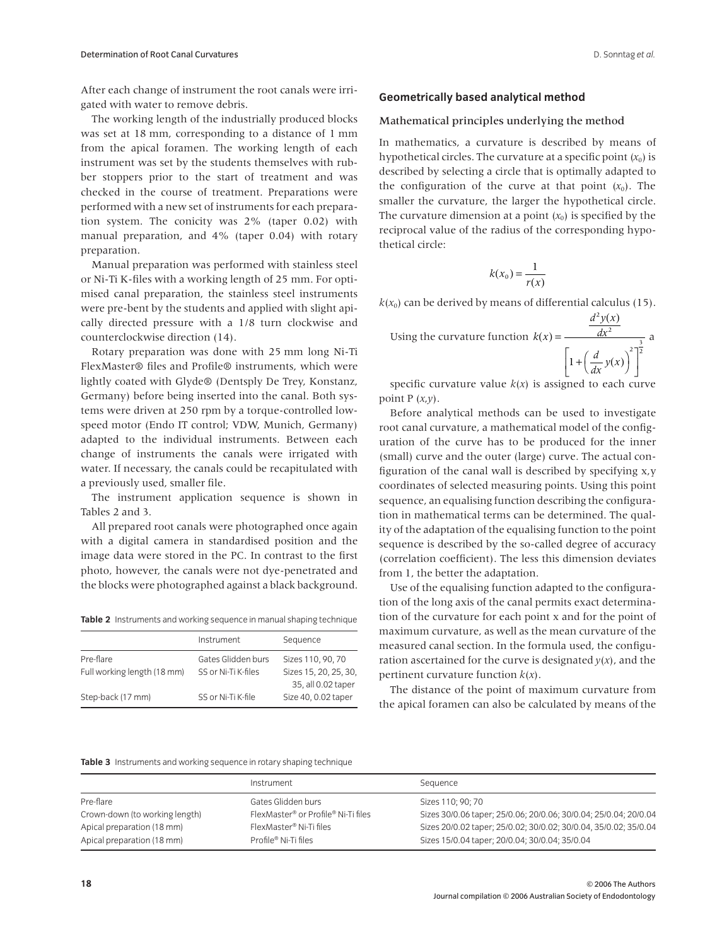After each change of instrument the root canals were irrigated with water to remove debris.

The working length of the industrially produced blocks was set at 18 mm, corresponding to a distance of 1 mm from the apical foramen. The working length of each instrument was set by the students themselves with rubber stoppers prior to the start of treatment and was checked in the course of treatment. Preparations were performed with a new set of instruments for each preparation system. The conicity was 2% (taper 0.02) with manual preparation, and 4% (taper 0.04) with rotary preparation.

Manual preparation was performed with stainless steel or Ni-Ti K-files with a working length of 25 mm. For optimised canal preparation, the stainless steel instruments were pre-bent by the students and applied with slight apically directed pressure with a 1/8 turn clockwise and counterclockwise direction (14).

Rotary preparation was done with 25 mm long Ni-Ti FlexMaster® files and Profile® instruments, which were lightly coated with Glyde® (Dentsply De Trey, Konstanz, Germany) before being inserted into the canal. Both systems were driven at 250 rpm by a torque-controlled lowspeed motor (Endo IT control; VDW, Munich, Germany) adapted to the individual instruments. Between each change of instruments the canals were irrigated with water. If necessary, the canals could be recapitulated with a previously used, smaller file.

The instrument application sequence is shown in Tables 2 and 3.

All prepared root canals were photographed once again with a digital camera in standardised position and the image data were stored in the PC. In contrast to the first photo, however, the canals were not dye-penetrated and the blocks were photographed against a black background.

**Table 2** Instruments and working sequence in manual shaping technique

|                             | Instrument          | Sequence              |
|-----------------------------|---------------------|-----------------------|
| Pre-flare                   | Gates Glidden burs  | Sizes 110, 90, 70     |
| Full working length (18 mm) | SS or Ni-Ti K-files | Sizes 15, 20, 25, 30, |
|                             |                     | 35, all 0.02 taper    |
| Step-back (17 mm)           | SS or Ni-Ti K-file  | Size 40, 0.02 taper   |

#### **Geometrically based analytical method**

#### Mathematical principles underlying the method

In mathematics, a curvature is described by means of hypothetical circles. The curvature at a specific point  $(x_0)$  is described by selecting a circle that is optimally adapted to the configuration of the curve at that point  $(x_0)$ . The smaller the curvature, the larger the hypothetical circle. The curvature dimension at a point  $(x_0)$  is specified by the reciprocal value of the radius of the corresponding hypothetical circle:

$$
k(x_0) = \frac{1}{r(x)}
$$

 $k(x_0)$  can be derived by means of differential calculus (15).

Using the curvature function 
$$
k(x) = \frac{\frac{d^2y(x)}{dx^2}}{\left[1 + \left(\frac{d}{dx}y(x)\right)^2\right]^{\frac{3}{2}}}
$$

specific curvature value  $k(x)$  is assigned to each curve point  $P(x,y)$ .

Before analytical methods can be used to investigate root canal curvature, a mathematical model of the configuration of the curve has to be produced for the inner (small) curve and the outer (large) curve. The actual configuration of the canal wall is described by specifying x,y coordinates of selected measuring points. Using this point sequence, an equalising function describing the configuration in mathematical terms can be determined. The quality of the adaptation of the equalising function to the point sequence is described by the so-called degree of accuracy (correlation coefficient). The less this dimension deviates from 1, the better the adaptation.

Use of the equalising function adapted to the configuration of the long axis of the canal permits exact determination of the curvature for each point x and for the point of maximum curvature, as well as the mean curvature of the measured canal section. In the formula used, the configuration ascertained for the curve is designated  $y(x)$ , and the pertinent curvature function *k*(*x*).

The distance of the point of maximum curvature from the apical foramen can also be calculated by means of the

**Table 3** Instruments and working sequence in rotary shaping technique

|                                | Instrument                                                  | Sequence                                                         |
|--------------------------------|-------------------------------------------------------------|------------------------------------------------------------------|
| Pre-flare                      | Gates Glidden burs                                          | Sizes 110: 90: 70                                                |
| Crown-down (to working length) | FlexMaster <sup>®</sup> or Profile <sup>®</sup> Ni-Ti files | Sizes 30/0.06 taper; 25/0.06; 20/0.06; 30/0.04; 25/0.04; 20/0.04 |
| Apical preparation (18 mm)     | FlexMaster <sup>®</sup> Ni-Ti files                         | Sizes 20/0.02 taper; 25/0.02; 30/0.02; 30/0.04, 35/0.02; 35/0.04 |
| Apical preparation (18 mm)     | Profile® Ni-Ti files                                        | Sizes 15/0.04 taper; 20/0.04; 30/0.04; 35/0.04                   |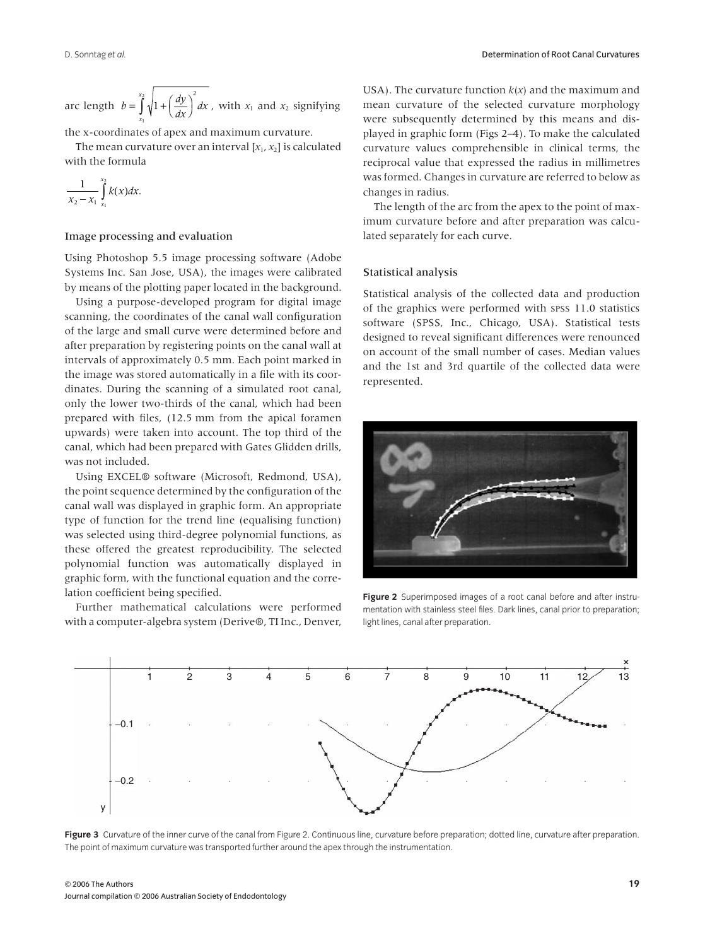arc length  $b = \int_{x_1}^{x_2} \sqrt{1 + \left(\frac{dy}{dx}\right)^2} dx$ , with  $x_1$  and  $x_2$  signifying *x*  $=\int_{0}^{x_2}\sqrt{1+\left(\frac{dy}{dx}\right)^2}$ 1 2

the x-coordinates of apex and maximum curvature.

The mean curvature over an interval  $[x_1, x_2]$  is calculated with the formula

$$
\frac{1}{x_2-x_1}\int_{x_1}^{x_2}k(x)dx.
$$

### Image processing and evaluation

Using Photoshop 5.5 image processing software (Adobe Systems Inc. San Jose, USA), the images were calibrated by means of the plotting paper located in the background.

Using a purpose-developed program for digital image scanning, the coordinates of the canal wall configuration of the large and small curve were determined before and after preparation by registering points on the canal wall at intervals of approximately 0.5 mm. Each point marked in the image was stored automatically in a file with its coordinates. During the scanning of a simulated root canal, only the lower two-thirds of the canal, which had been prepared with files, (12.5 mm from the apical foramen upwards) were taken into account. The top third of the canal, which had been prepared with Gates Glidden drills, was not included.

Using EXCEL® software (Microsoft, Redmond, USA), the point sequence determined by the configuration of the canal wall was displayed in graphic form. An appropriate type of function for the trend line (equalising function) was selected using third-degree polynomial functions, as these offered the greatest reproducibility. The selected polynomial function was automatically displayed in graphic form, with the functional equation and the correlation coefficient being specified.

Further mathematical calculations were performed with a computer-algebra system (Derive®, TI Inc., Denver, USA). The curvature function *k*(*x*) and the maximum and mean curvature of the selected curvature morphology were subsequently determined by this means and displayed in graphic form (Figs 2–4). To make the calculated curvature values comprehensible in clinical terms, the reciprocal value that expressed the radius in millimetres was formed. Changes in curvature are referred to below as changes in radius.

The length of the arc from the apex to the point of maximum curvature before and after preparation was calculated separately for each curve.

## Statistical analysis

Statistical analysis of the collected data and production of the graphics were performed with SPSS 11.0 statistics software (SPSS, Inc., Chicago, USA). Statistical tests designed to reveal significant differences were renounced on account of the small number of cases. Median values and the 1st and 3rd quartile of the collected data were represented.



**Figure 2** Superimposed images of a root canal before and after instrumentation with stainless steel files. Dark lines, canal prior to preparation; light lines, canal after preparation.



**Figure 3** Curvature of the inner curve of the canal from Figure 2. Continuous line, curvature before preparation; dotted line, curvature after preparation. The point of maximum curvature was transported further around the apex through the instrumentation.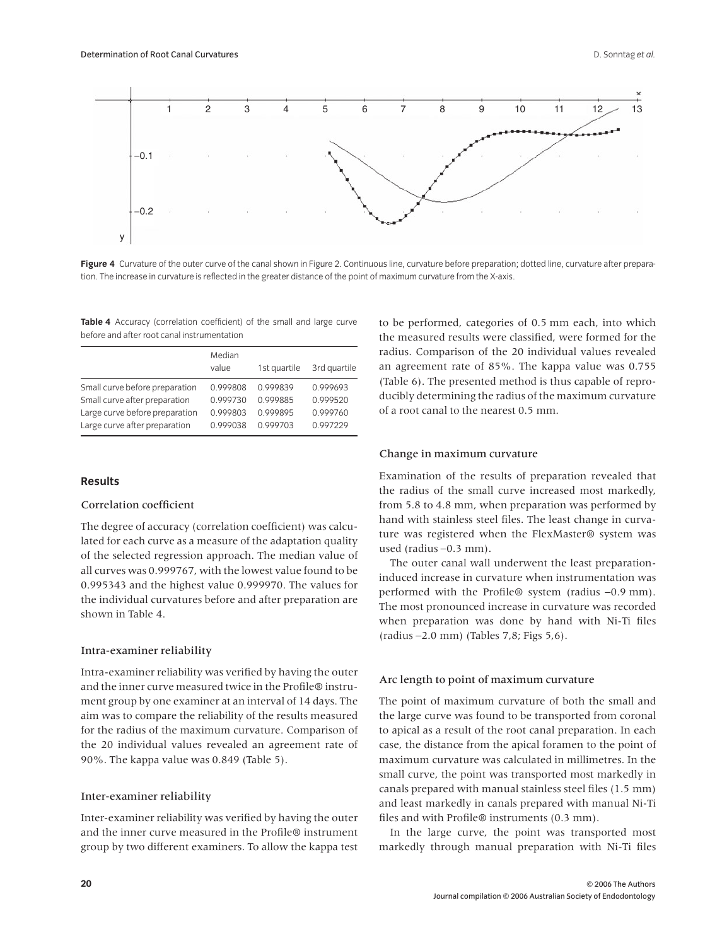

Figure 4 Curvature of the outer curve of the canal shown in Figure 2. Continuous line, curvature before preparation; dotted line, curvature after preparation. The increase in curvature is reflected in the greater distance of the point of maximum curvature from the X-axis.

**Table 4** Accuracy (correlation coefficient) of the small and large curve before and after root canal instrumentation

|                                | Median<br>value | 1st quartile | 3rd quartile |
|--------------------------------|-----------------|--------------|--------------|
| Small curve before preparation | 0.999808        | 0.999839     | 0.999693     |
| Small curve after preparation  | 0.999730        | 0.999885     | 0.999520     |
| Large curve before preparation | 0.999803        | 0.999895     | 0.999760     |
| Large curve after preparation  | 0.999038        | 0999703      | 0.997229     |

## **Results**

## Correlation coefficient

The degree of accuracy (correlation coefficient) was calculated for each curve as a measure of the adaptation quality of the selected regression approach. The median value of all curves was 0.999767, with the lowest value found to be 0.995343 and the highest value 0.999970. The values for the individual curvatures before and after preparation are shown in Table 4.

## Intra-examiner reliability

Intra-examiner reliability was verified by having the outer and the inner curve measured twice in the Profile® instrument group by one examiner at an interval of 14 days. The aim was to compare the reliability of the results measured for the radius of the maximum curvature. Comparison of the 20 individual values revealed an agreement rate of 90%. The kappa value was 0.849 (Table 5).

#### Inter-examiner reliability

Inter-examiner reliability was verified by having the outer and the inner curve measured in the Profile® instrument group by two different examiners. To allow the kappa test to be performed, categories of 0.5 mm each, into which the measured results were classified, were formed for the radius. Comparison of the 20 individual values revealed an agreement rate of 85%. The kappa value was 0.755 (Table 6). The presented method is thus capable of reproducibly determining the radius of the maximum curvature of a root canal to the nearest 0.5 mm.

#### Change in maximum curvature

Examination of the results of preparation revealed that the radius of the small curve increased most markedly, from 5.8 to 4.8 mm, when preparation was performed by hand with stainless steel files. The least change in curvature was registered when the FlexMaster® system was used (radius −0.3 mm).

The outer canal wall underwent the least preparationinduced increase in curvature when instrumentation was performed with the Profile® system (radius −0.9 mm). The most pronounced increase in curvature was recorded when preparation was done by hand with Ni-Ti files (radius −2.0 mm) (Tables 7,8; Figs 5,6).

#### Arc length to point of maximum curvature

The point of maximum curvature of both the small and the large curve was found to be transported from coronal to apical as a result of the root canal preparation. In each case, the distance from the apical foramen to the point of maximum curvature was calculated in millimetres. In the small curve, the point was transported most markedly in canals prepared with manual stainless steel files (1.5 mm) and least markedly in canals prepared with manual Ni-Ti files and with Profile® instruments (0.3 mm).

In the large curve, the point was transported most markedly through manual preparation with Ni-Ti files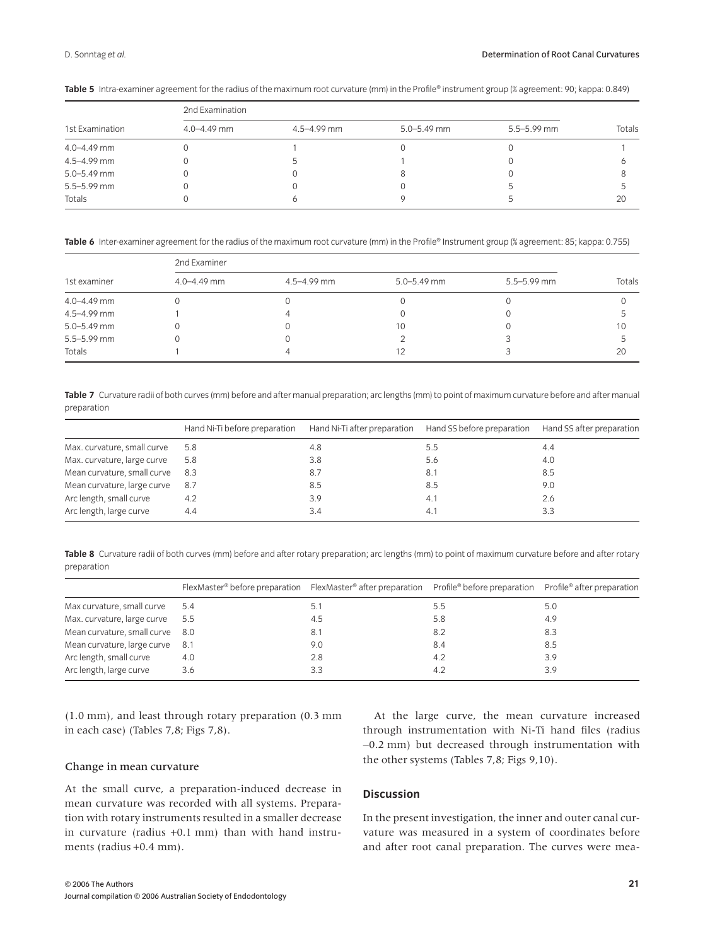| 1st Examination | 2nd Examination |             |                 |             |        |
|-----------------|-----------------|-------------|-----------------|-------------|--------|
|                 | $4.0 - 4.49$ mm | 4.5-4.99 mm | $5.0 - 5.49$ mm | 5.5-5.99 mm | Totals |
| 4.0-4.49 mm     |                 |             |                 |             |        |
| 4.5-4.99 mm     |                 |             |                 |             |        |
| 5.0-5.49 mm     |                 |             |                 |             |        |
| $5.5 - 5.99$ mm |                 |             |                 |             |        |
| Totals          |                 |             |                 |             | 20     |

**Table 5** Intra-examiner agreement for the radius of the maximum root curvature (mm) in the Profile® instrument group (% agreement: 90; kappa: 0.849)

**Table 6** Inter-examiner agreement for the radius of the maximum root curvature (mm) in the Profile® Instrument group (% agreement: 85; kappa: 0.755)

| 1st examiner    | 2nd Examiner    |                 |                 |                 |        |  |
|-----------------|-----------------|-----------------|-----------------|-----------------|--------|--|
|                 | $4.0 - 4.49$ mm | $4.5 - 4.99$ mm | $5.0 - 5.49$ mm | $5.5 - 5.99$ mm | Totals |  |
| $4.0 - 4.49$ mm |                 |                 |                 |                 |        |  |
| 4.5-4.99 mm     |                 |                 |                 |                 |        |  |
| $5.0 - 5.49$ mm |                 |                 | 10              |                 | 10     |  |
| $5.5 - 5.99$ mm |                 |                 |                 |                 |        |  |
| Totals          |                 |                 |                 |                 | 20     |  |

**Table 7** Curvature radii of both curves (mm) before and after manual preparation; arc lengths (mm) to point of maximum curvature before and after manual preparation

|                             | Hand Ni-Ti before preparation | Hand Ni-Ti after preparation | Hand SS before preparation | Hand SS after preparation |
|-----------------------------|-------------------------------|------------------------------|----------------------------|---------------------------|
| Max. curvature, small curve | 5.8                           | 4.8                          | 5.5                        | 4.4                       |
| Max. curvature, large curve | 5.8                           | 3.8                          | 5.6                        | 4.0                       |
| Mean curvature, small curve | 8.3                           | 8.7                          | 8.1                        | 8.5                       |
| Mean curvature, large curve | 8.7                           | 8.5                          | 8.5                        | 9.0                       |
| Arc length, small curve     | 4.2                           | 3.9                          | 4.1                        | 2.6                       |
| Arc length, large curve     | 4.4                           | 3.4                          | 4.1                        | 3.3                       |

**Table 8** Curvature radii of both curves (mm) before and after rotary preparation; arc lengths (mm) to point of maximum curvature before and after rotary preparation

|                                 | $FlexMaster^{\circ}$ before preparation FlexMaster <sup>®</sup> after preparation Profile <sup>®</sup> before preparation Profile <sup>®</sup> after preparation |     |     |     |
|---------------------------------|------------------------------------------------------------------------------------------------------------------------------------------------------------------|-----|-----|-----|
| Max curvature, small curve      | 5.4                                                                                                                                                              | 5.1 | 5.5 | 5.0 |
| Max. curvature, large curve     | 5.5                                                                                                                                                              | 4.5 | 5.8 | 4.9 |
| Mean curvature, small curve 8.0 |                                                                                                                                                                  | 8.1 | 8.2 | 8.3 |
| Mean curvature, large curve     | - 8.1                                                                                                                                                            | 9.0 | 8.4 | 8.5 |
| Arc length, small curve         | 4.0                                                                                                                                                              | 2.8 | 4.2 | 3.9 |
| Arc length, large curve         | 3.6                                                                                                                                                              | 3.3 | 4.2 | 3.9 |

(1.0 mm), and least through rotary preparation (0.3 mm in each case) (Tables 7,8; Figs 7,8).

#### Change in mean curvature

At the small curve, a preparation-induced decrease in mean curvature was recorded with all systems. Preparation with rotary instruments resulted in a smaller decrease in curvature (radius +0.1 mm) than with hand instruments (radius +0.4 mm).

At the large curve, the mean curvature increased through instrumentation with Ni-Ti hand files (radius −0.2 mm) but decreased through instrumentation with the other systems (Tables 7,8; Figs 9,10).

# **Discussion**

In the present investigation, the inner and outer canal curvature was measured in a system of coordinates before and after root canal preparation. The curves were mea-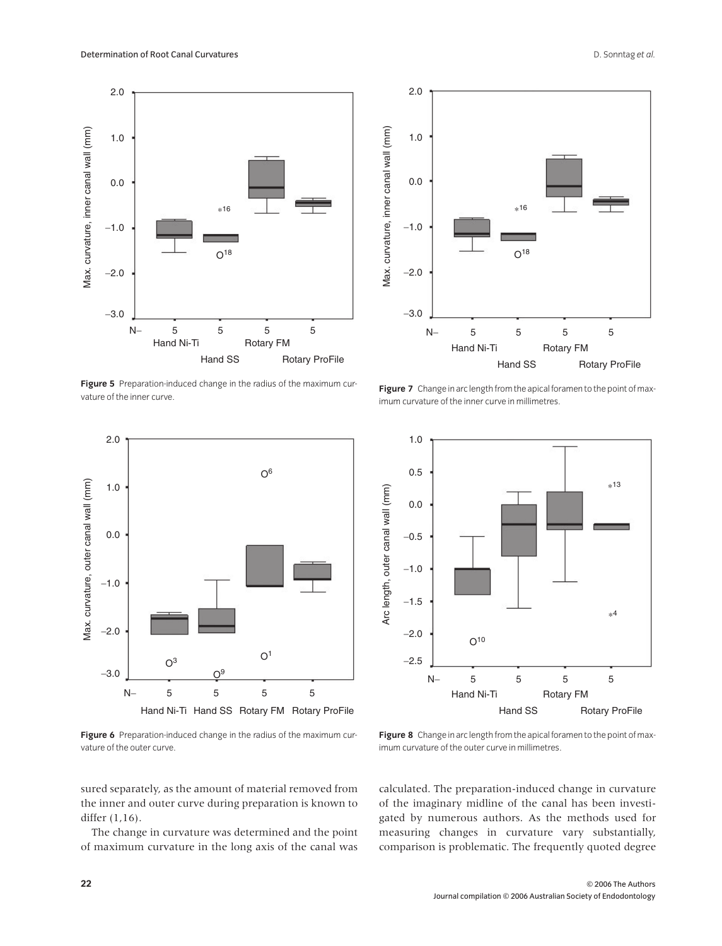

**Figure 5** Preparation-induced change in the radius of the maximum curvature of the inner curve.



**Figure 6** Preparation-induced change in the radius of the maximum curvature of the outer curve.



**Figure 7** Change in arc length from the apical foramen to the point of maximum curvature of the inner curve in millimetres.



**Figure 8** Change in arc length from the apical foramen to the point of maximum curvature of the outer curve in millimetres.

sured separately, as the amount of material removed from the inner and outer curve during preparation is known to

The change in curvature was determined and the point of maximum curvature in the long axis of the canal was calculated. The preparation-induced change in curvature of the imaginary midline of the canal has been investigated by numerous authors. As the methods used for measuring changes in curvature vary substantially, comparison is problematic. The frequently quoted degree

differ (1,16).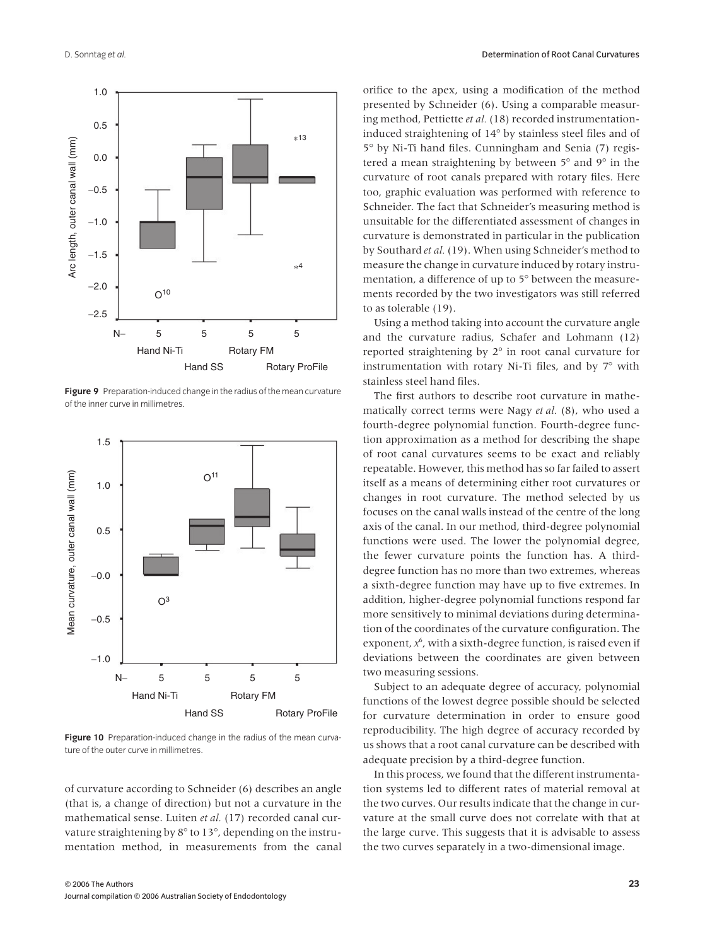

**Figure 9** Preparation-induced change in the radius of the mean curvature of the inner curve in millimetres.



**Figure 10** Preparation-induced change in the radius of the mean curvature of the outer curve in millimetres.

of curvature according to Schneider (6) describes an angle (that is, a change of direction) but not a curvature in the mathematical sense. Luiten *et al.* (17) recorded canal curvature straightening by 8° to 13°, depending on the instrumentation method, in measurements from the canal orifice to the apex, using a modification of the method presented by Schneider (6). Using a comparable measuring method, Pettiette *et al.* (18) recorded instrumentationinduced straightening of 14° by stainless steel files and of 5° by Ni-Ti hand files. Cunningham and Senia (7) registered a mean straightening by between 5° and 9° in the curvature of root canals prepared with rotary files. Here too, graphic evaluation was performed with reference to Schneider. The fact that Schneider's measuring method is unsuitable for the differentiated assessment of changes in curvature is demonstrated in particular in the publication by Southard *et al.*(19). When using Schneider's method to measure the change in curvature induced by rotary instrumentation, a difference of up to 5° between the measurements recorded by the two investigators was still referred to as tolerable (19).

Using a method taking into account the curvature angle and the curvature radius, Schafer and Lohmann (12) reported straightening by 2° in root canal curvature for instrumentation with rotary Ni-Ti files, and by 7° with stainless steel hand files.

The first authors to describe root curvature in mathematically correct terms were Nagy *et al.* (8), who used a fourth-degree polynomial function. Fourth-degree function approximation as a method for describing the shape of root canal curvatures seems to be exact and reliably repeatable. However, this method has so far failed to assert itself as a means of determining either root curvatures or changes in root curvature. The method selected by us focuses on the canal walls instead of the centre of the long axis of the canal. In our method, third-degree polynomial functions were used. The lower the polynomial degree, the fewer curvature points the function has. A thirddegree function has no more than two extremes, whereas a sixth-degree function may have up to five extremes. In addition, higher-degree polynomial functions respond far more sensitively to minimal deviations during determination of the coordinates of the curvature configuration. The exponent,  $x^6$ , with a sixth-degree function, is raised even if deviations between the coordinates are given between two measuring sessions.

Subject to an adequate degree of accuracy, polynomial functions of the lowest degree possible should be selected for curvature determination in order to ensure good reproducibility. The high degree of accuracy recorded by us shows that a root canal curvature can be described with adequate precision by a third-degree function.

In this process, we found that the different instrumentation systems led to different rates of material removal at the two curves. Our results indicate that the change in curvature at the small curve does not correlate with that at the large curve. This suggests that it is advisable to assess the two curves separately in a two-dimensional image.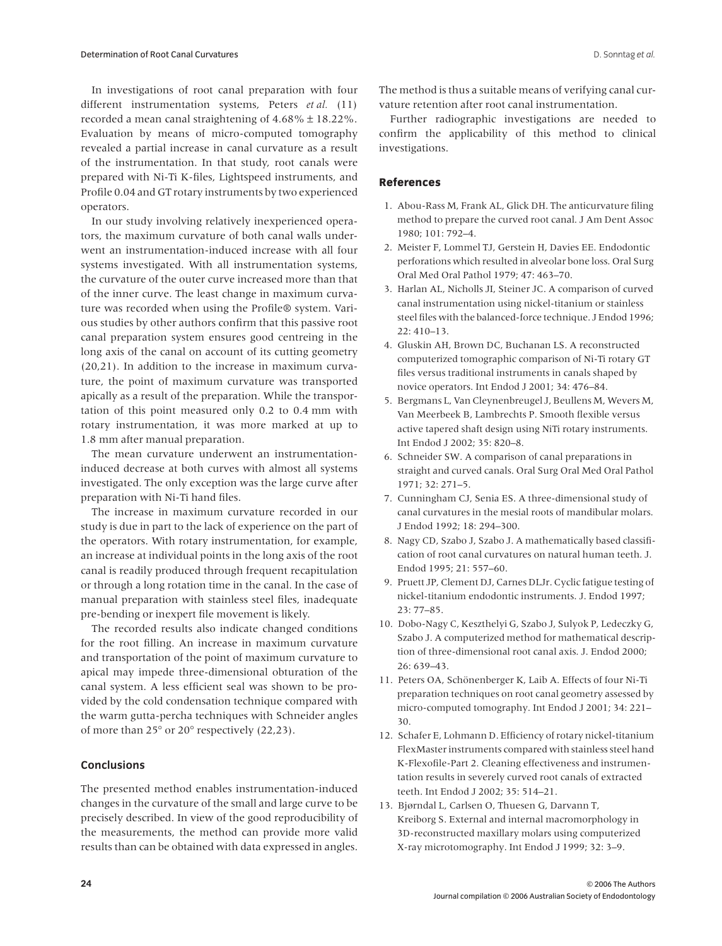In investigations of root canal preparation with four different instrumentation systems, Peters et al. (11) recorded a mean canal straightening of 4.68% ± 18.22%. Evaluation by means of micro-computed tomography revealed a partial increase in canal curvature as a result of the instrumentation. In that study, root canals were prepared with Ni-Ti K-files, Lightspeed instruments, and Profile 0.04 and GT rotary instruments by two experienced operators.

In our study involving relatively inexperienced operators, the maximum curvature of both canal walls underwent an instrumentation-induced increase with all four systems investigated. With all instrumentation systems, the curvature of the outer curve increased more than that of the inner curve. The least change in maximum curvature was recorded when using the Profile® system. Various studies by other authors confirm that this passive root canal preparation system ensures good centreing in the long axis of the canal on account of its cutting geometry (20,21). In addition to the increase in maximum curvature, the point of maximum curvature was transported apically as a result of the preparation. While the transportation of this point measured only 0.2 to 0.4 mm with rotary instrumentation, it was more marked at up to 1.8 mm after manual preparation.

The mean curvature underwent an instrumentationinduced decrease at both curves with almost all systems investigated. The only exception was the large curve after preparation with Ni-Ti hand files.

The increase in maximum curvature recorded in our study is due in part to the lack of experience on the part of the operators. With rotary instrumentation, for example, an increase at individual points in the long axis of the root canal is readily produced through frequent recapitulation or through a long rotation time in the canal. In the case of manual preparation with stainless steel files, inadequate pre-bending or inexpert file movement is likely.

The recorded results also indicate changed conditions for the root filling. An increase in maximum curvature and transportation of the point of maximum curvature to apical may impede three-dimensional obturation of the canal system. A less efficient seal was shown to be provided by the cold condensation technique compared with the warm gutta-percha techniques with Schneider angles of more than 25° or 20° respectively (22,23).

# **Conclusions**

The presented method enables instrumentation-induced changes in the curvature of the small and large curve to be precisely described. In view of the good reproducibility of the measurements, the method can provide more valid results than can be obtained with data expressed in angles. The method is thus a suitable means of verifying canal curvature retention after root canal instrumentation.

Further radiographic investigations are needed to confirm the applicability of this method to clinical investigations.

## **References**

- 1. Abou-Rass M, Frank AL, Glick DH. The anticurvature filing method to prepare the curved root canal. J Am Dent Assoc 1980; 101: 792–4.
- 2. Meister F, Lommel TJ, Gerstein H, Davies EE. Endodontic perforations which resulted in alveolar bone loss. Oral Surg Oral Med Oral Pathol 1979; 47: 463–70.
- 3. Harlan AL, Nicholls JI, Steiner JC. A comparison of curved canal instrumentation using nickel-titanium or stainless steel files with the balanced-force technique. J Endod 1996; 22: 410–13.
- 4. Gluskin AH, Brown DC, Buchanan LS. A reconstructed computerized tomographic comparison of Ni-Ti rotary GT files versus traditional instruments in canals shaped by novice operators. Int Endod J 2001; 34: 476–84.
- 5. Bergmans L, Van Cleynenbreugel J, Beullens M, Wevers M, Van Meerbeek B, Lambrechts P. Smooth flexible versus active tapered shaft design using NiTi rotary instruments. Int Endod J 2002; 35: 820–8.
- 6. Schneider SW. A comparison of canal preparations in straight and curved canals. Oral Surg Oral Med Oral Pathol 1971; 32: 271–5.
- 7. Cunningham CJ, Senia ES. A three-dimensional study of canal curvatures in the mesial roots of mandibular molars. J Endod 1992; 18: 294–300.
- 8. Nagy CD, Szabo J, Szabo J. A mathematically based classification of root canal curvatures on natural human teeth. J. Endod 1995; 21: 557–60.
- 9. Pruett JP, Clement DJ, Carnes DLJr. Cyclic fatigue testing of nickel-titanium endodontic instruments. J. Endod 1997; 23: 77–85.
- 10. Dobo-Nagy C, Keszthelyi G, Szabo J, Sulyok P, Ledeczky G, Szabo J. A computerized method for mathematical description of three-dimensional root canal axis. J. Endod 2000; 26: 639–43.
- 11. Peters OA, Schönenberger K, Laib A. Effects of four Ni-Ti preparation techniques on root canal geometry assessed by micro-computed tomography. Int Endod J 2001; 34: 221– 30.
- 12. Schafer E, Lohmann D. Efficiency of rotary nickel-titanium FlexMaster instruments compared with stainless steel hand K-Flexofile-Part 2. Cleaning effectiveness and instrumentation results in severely curved root canals of extracted teeth. Int Endod J 2002; 35: 514–21.
- 13. Bjørndal L, Carlsen O, Thuesen G, Darvann T, Kreiborg S. External and internal macromorphology in 3D-reconstructed maxillary molars using computerized X-ray microtomography. Int Endod J 1999; 32: 3–9.